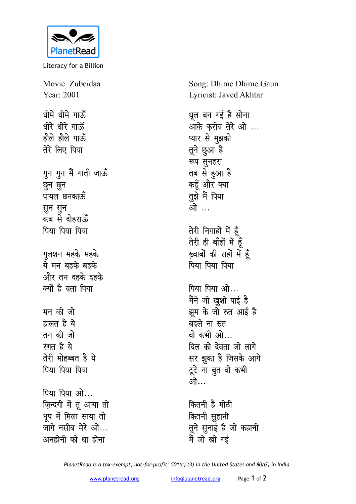

Literacy for a Billion

Movie: Zubeidaa Year: 2001 धीमे धीमे गाऊँ धीरे धीरे गाऊँ हौले हौले गाऊँ तेरे लिए पिया गुन गुन मैं गाती जाऊँ छून छून पायल छनकाऊँ सुन सुन कब से दोहराऊँ पिया पिया पिया गुलशन महके महके ये मन बहके बहके और तन दहके दहके क्यों है बता पिया मन की जो हालत है ये तन की जो रंगत है ये तेरी मोहब्बत है ये पिया पिया पिया पिया पिया ओ... ज़िन्दगी में तू आया तो धुप में मिला साया तो जांगे नसीब मेरे ओ... अनहोनी को था होना

Song: Dhime Dhime Gaun Lyricist: Javed Akhtar

धल बन गई है सोना ...<br>आके करीब तेरे ओ ... प्यार से मुझको तूने छुआ है रूप सुनहरा तब से हुआ है कहँ और क्या तुझे मैं पिया ओ … तेरी निगाहों में हूँ तेरी ही बाँहों में हूँ ख़्वाबों की राहों में हूँ पिया पिया पिया पिया पिया ओ... मैंने जो ख़ुशी पाई है झूम के जो रुत आई है

बदले ना रुत वो कभी ओ... दिल को देवता जो लागे सर झुका है जिसके आगे टूटे ना बुत वो कभी ओ…

कितनी है मीठी कितनी सुहानी तूने सुनाई है जो कहानी मैं जो खो गई

PlanetRead is a tax-exempt, not-for-profit: 501(c) (3) in the United States and 80(G) in India.